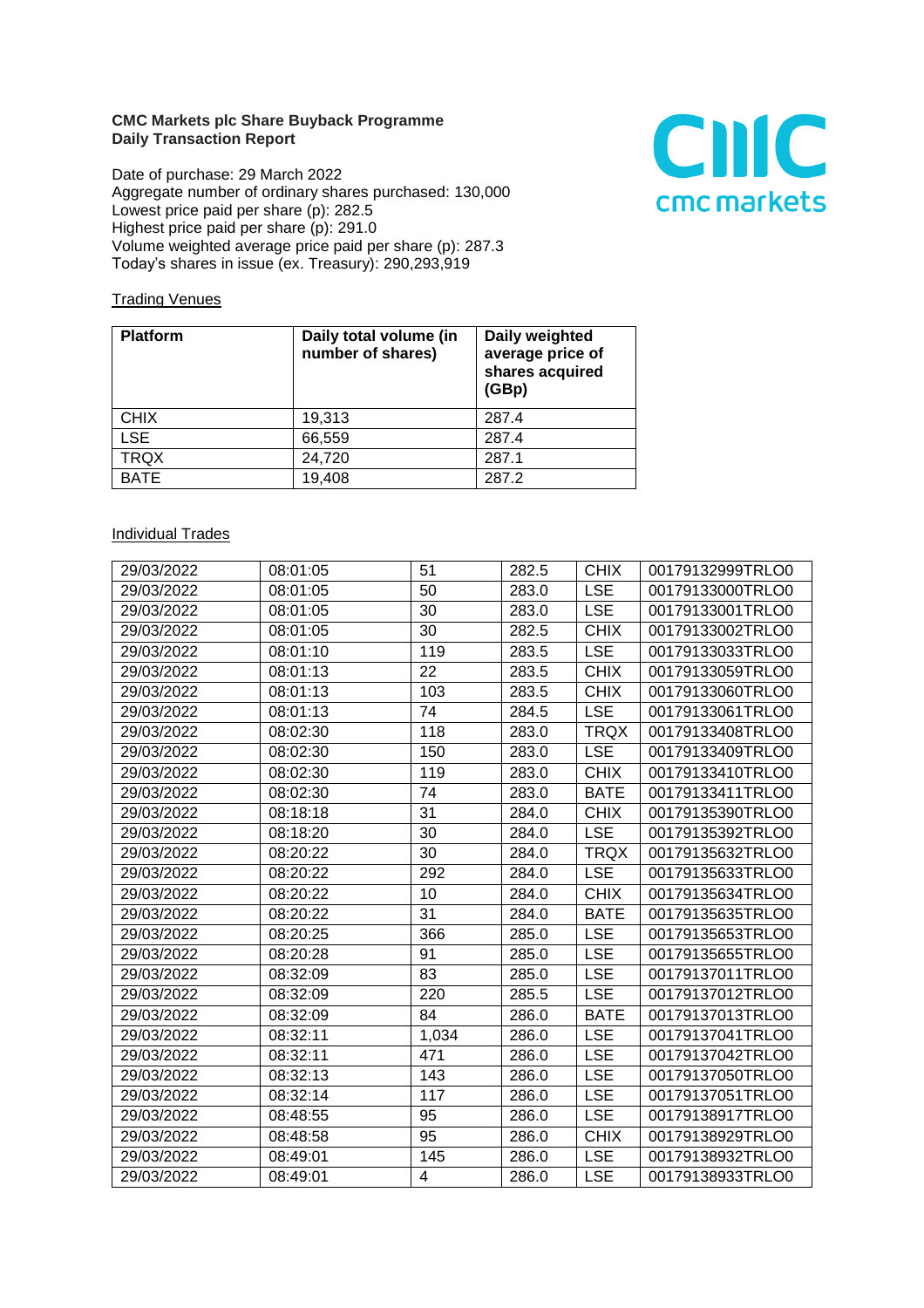## **CMC Markets plc Share Buyback Programme Daily Transaction Report**

Date of purchase: 29 March 2022 Aggregate number of ordinary shares purchased: 130,000 Lowest price paid per share (p): 282.5 Highest price paid per share (p): 291.0 Volume weighted average price paid per share (p): 287.3 Today's shares in issue (ex. Treasury): 290,293,919



## **Trading Venues**

| <b>Platform</b> | Daily total volume (in<br>number of shares) | Daily weighted<br>average price of<br>shares acquired<br>(GBp) |
|-----------------|---------------------------------------------|----------------------------------------------------------------|
| <b>CHIX</b>     | 19,313                                      | 287.4                                                          |
| <b>LSE</b>      | 66,559                                      | 287.4                                                          |
| <b>TRQX</b>     | 24,720                                      | 287.1                                                          |
| <b>BATE</b>     | 19,408                                      | 287.2                                                          |

## **Individual Trades**

| 29/03/2022 | 08:01:05 | 51    | 282.5 | <b>CHIX</b> | 00179132999TRLO0 |
|------------|----------|-------|-------|-------------|------------------|
| 29/03/2022 | 08:01:05 | 50    | 283.0 | <b>LSE</b>  | 00179133000TRLO0 |
| 29/03/2022 | 08:01:05 | 30    | 283.0 | <b>LSE</b>  | 00179133001TRLO0 |
| 29/03/2022 | 08:01:05 | 30    | 282.5 | <b>CHIX</b> | 00179133002TRLO0 |
| 29/03/2022 | 08:01:10 | 119   | 283.5 | <b>LSE</b>  | 00179133033TRLO0 |
| 29/03/2022 | 08:01:13 | 22    | 283.5 | <b>CHIX</b> | 00179133059TRLO0 |
| 29/03/2022 | 08:01:13 | 103   | 283.5 | <b>CHIX</b> | 00179133060TRLO0 |
| 29/03/2022 | 08:01:13 | 74    | 284.5 | <b>LSE</b>  | 00179133061TRLO0 |
| 29/03/2022 | 08:02:30 | 118   | 283.0 | <b>TRQX</b> | 00179133408TRLO0 |
| 29/03/2022 | 08:02:30 | 150   | 283.0 | <b>LSE</b>  | 00179133409TRLO0 |
| 29/03/2022 | 08:02:30 | 119   | 283.0 | <b>CHIX</b> | 00179133410TRLO0 |
| 29/03/2022 | 08:02:30 | 74    | 283.0 | <b>BATE</b> | 00179133411TRLO0 |
| 29/03/2022 | 08:18:18 | 31    | 284.0 | <b>CHIX</b> | 00179135390TRLO0 |
| 29/03/2022 | 08:18:20 | 30    | 284.0 | <b>LSE</b>  | 00179135392TRLO0 |
| 29/03/2022 | 08:20:22 | 30    | 284.0 | <b>TRQX</b> | 00179135632TRLO0 |
| 29/03/2022 | 08:20:22 | 292   | 284.0 | <b>LSE</b>  | 00179135633TRLO0 |
| 29/03/2022 | 08:20:22 | 10    | 284.0 | <b>CHIX</b> | 00179135634TRLO0 |
| 29/03/2022 | 08:20:22 | 31    | 284.0 | <b>BATE</b> | 00179135635TRLO0 |
| 29/03/2022 | 08:20:25 | 366   | 285.0 | <b>LSE</b>  | 00179135653TRLO0 |
| 29/03/2022 | 08:20:28 | 91    | 285.0 | <b>LSE</b>  | 00179135655TRLO0 |
| 29/03/2022 | 08:32:09 | 83    | 285.0 | <b>LSE</b>  | 00179137011TRLO0 |
| 29/03/2022 | 08:32:09 | 220   | 285.5 | <b>LSE</b>  | 00179137012TRLO0 |
| 29/03/2022 | 08:32:09 | 84    | 286.0 | <b>BATE</b> | 00179137013TRLO0 |
| 29/03/2022 | 08:32:11 | 1,034 | 286.0 | <b>LSE</b>  | 00179137041TRLO0 |
| 29/03/2022 | 08:32:11 | 471   | 286.0 | <b>LSE</b>  | 00179137042TRLO0 |
| 29/03/2022 | 08:32:13 | 143   | 286.0 | <b>LSE</b>  | 00179137050TRLO0 |
| 29/03/2022 | 08:32:14 | 117   | 286.0 | <b>LSE</b>  | 00179137051TRLO0 |
| 29/03/2022 | 08:48:55 | 95    | 286.0 | <b>LSE</b>  | 00179138917TRLO0 |
| 29/03/2022 | 08:48:58 | 95    | 286.0 | <b>CHIX</b> | 00179138929TRLO0 |
| 29/03/2022 | 08:49:01 | 145   | 286.0 | <b>LSE</b>  | 00179138932TRLO0 |
| 29/03/2022 | 08:49:01 | 4     | 286.0 | <b>LSE</b>  | 00179138933TRLO0 |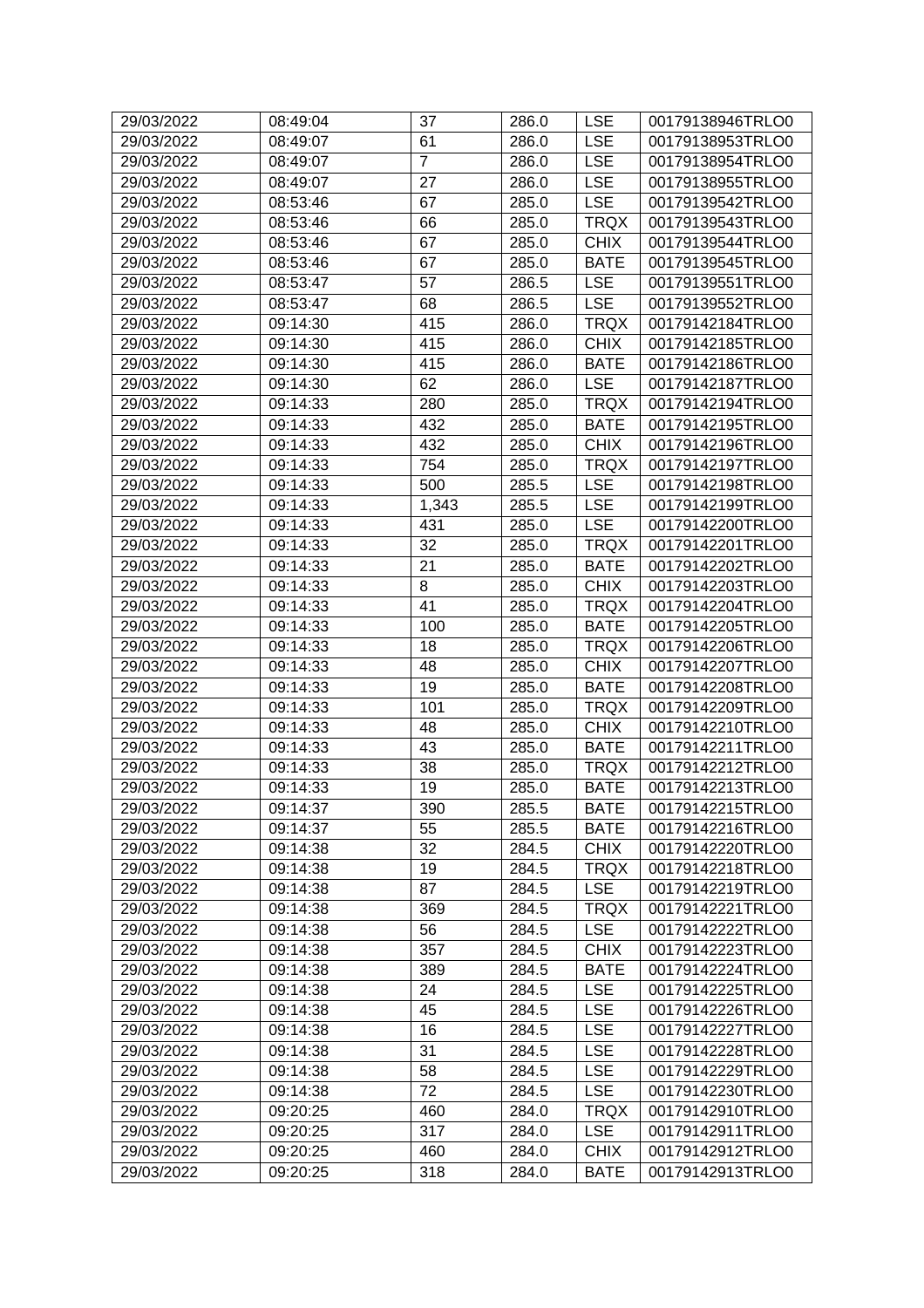| 29/03/2022 | 08:49:04 | 37             | 286.0 | <b>LSE</b>  | 00179138946TRLO0 |
|------------|----------|----------------|-------|-------------|------------------|
| 29/03/2022 | 08:49:07 | 61             | 286.0 | <b>LSE</b>  | 00179138953TRLO0 |
| 29/03/2022 | 08:49:07 | $\overline{7}$ | 286.0 | <b>LSE</b>  | 00179138954TRLO0 |
| 29/03/2022 | 08:49:07 | 27             | 286.0 | <b>LSE</b>  | 00179138955TRLO0 |
| 29/03/2022 | 08:53:46 | 67             | 285.0 | <b>LSE</b>  | 00179139542TRLO0 |
| 29/03/2022 | 08:53:46 | 66             | 285.0 | <b>TRQX</b> | 00179139543TRLO0 |
| 29/03/2022 | 08:53:46 | 67             | 285.0 | <b>CHIX</b> | 00179139544TRLO0 |
| 29/03/2022 | 08:53:46 | 67             | 285.0 | <b>BATE</b> | 00179139545TRLO0 |
| 29/03/2022 | 08:53:47 | 57             | 286.5 | <b>LSE</b>  | 00179139551TRLO0 |
| 29/03/2022 | 08:53:47 | 68             | 286.5 | <b>LSE</b>  | 00179139552TRLO0 |
| 29/03/2022 | 09:14:30 | 415            | 286.0 | <b>TRQX</b> | 00179142184TRLO0 |
| 29/03/2022 | 09:14:30 | 415            | 286.0 | <b>CHIX</b> | 00179142185TRLO0 |
| 29/03/2022 | 09:14:30 | 415            | 286.0 | <b>BATE</b> | 00179142186TRLO0 |
| 29/03/2022 | 09:14:30 | 62             | 286.0 | <b>LSE</b>  | 00179142187TRLO0 |
| 29/03/2022 | 09:14:33 | 280            | 285.0 | <b>TRQX</b> | 00179142194TRLO0 |
| 29/03/2022 | 09:14:33 | 432            | 285.0 | <b>BATE</b> | 00179142195TRLO0 |
| 29/03/2022 | 09:14:33 | 432            | 285.0 | <b>CHIX</b> | 00179142196TRLO0 |
| 29/03/2022 | 09:14:33 | 754            | 285.0 | <b>TRQX</b> | 00179142197TRLO0 |
| 29/03/2022 | 09:14:33 | 500            | 285.5 | <b>LSE</b>  | 00179142198TRLO0 |
| 29/03/2022 | 09:14:33 | 1,343          | 285.5 | <b>LSE</b>  | 00179142199TRLO0 |
| 29/03/2022 | 09:14:33 | 431            | 285.0 | <b>LSE</b>  | 00179142200TRLO0 |
| 29/03/2022 | 09:14:33 | 32             | 285.0 | <b>TRQX</b> | 00179142201TRLO0 |
| 29/03/2022 | 09:14:33 | 21             | 285.0 | <b>BATE</b> | 00179142202TRLO0 |
| 29/03/2022 | 09:14:33 | 8              | 285.0 | <b>CHIX</b> | 00179142203TRLO0 |
| 29/03/2022 | 09:14:33 | 41             | 285.0 | <b>TRQX</b> | 00179142204TRLO0 |
| 29/03/2022 | 09:14:33 | 100            | 285.0 | <b>BATE</b> | 00179142205TRLO0 |
| 29/03/2022 | 09:14:33 | 18             | 285.0 | <b>TRQX</b> | 00179142206TRLO0 |
| 29/03/2022 | 09:14:33 | 48             | 285.0 | <b>CHIX</b> | 00179142207TRLO0 |
| 29/03/2022 | 09:14:33 | 19             | 285.0 | <b>BATE</b> | 00179142208TRLO0 |
| 29/03/2022 | 09:14:33 | 101            | 285.0 | <b>TRQX</b> | 00179142209TRLO0 |
| 29/03/2022 | 09:14:33 | 48             | 285.0 | <b>CHIX</b> | 00179142210TRLO0 |
| 29/03/2022 | 09:14:33 | 43             | 285.0 | <b>BATE</b> | 00179142211TRLO0 |
| 29/03/2022 | 09:14:33 | 38             | 285.0 | <b>TRQX</b> | 00179142212TRLO0 |
| 29/03/2022 | 09:14:33 | 19             | 285.0 | <b>BATE</b> | 00179142213TRLO0 |
| 29/03/2022 | 09:14:37 | 390            | 285.5 | <b>BATE</b> | 00179142215TRLO0 |
| 29/03/2022 | 09:14:37 | 55             | 285.5 | <b>BATE</b> | 00179142216TRLO0 |
| 29/03/2022 | 09:14:38 | 32             | 284.5 | <b>CHIX</b> | 00179142220TRLO0 |
| 29/03/2022 | 09:14:38 | 19             | 284.5 | <b>TRQX</b> | 00179142218TRLO0 |
| 29/03/2022 | 09:14:38 | 87             | 284.5 | <b>LSE</b>  | 00179142219TRLO0 |
| 29/03/2022 | 09:14:38 | 369            | 284.5 | <b>TRQX</b> | 00179142221TRLO0 |
| 29/03/2022 | 09:14:38 | 56             | 284.5 | <b>LSE</b>  | 00179142222TRLO0 |
| 29/03/2022 | 09:14:38 | 357            | 284.5 | <b>CHIX</b> | 00179142223TRLO0 |
| 29/03/2022 | 09:14:38 | 389            | 284.5 | <b>BATE</b> | 00179142224TRLO0 |
| 29/03/2022 | 09:14:38 | 24             | 284.5 | <b>LSE</b>  | 00179142225TRLO0 |
| 29/03/2022 | 09:14:38 | 45             | 284.5 | <b>LSE</b>  | 00179142226TRLO0 |
| 29/03/2022 | 09:14:38 | 16             | 284.5 | <b>LSE</b>  | 00179142227TRLO0 |
| 29/03/2022 | 09:14:38 | 31             | 284.5 | <b>LSE</b>  | 00179142228TRLO0 |
| 29/03/2022 | 09:14:38 | 58             | 284.5 | <b>LSE</b>  | 00179142229TRLO0 |
| 29/03/2022 | 09:14:38 | 72             | 284.5 | <b>LSE</b>  | 00179142230TRLO0 |
| 29/03/2022 | 09:20:25 | 460            | 284.0 | TRQX        | 00179142910TRLO0 |
| 29/03/2022 | 09:20:25 | 317            | 284.0 | <b>LSE</b>  | 00179142911TRLO0 |
| 29/03/2022 | 09:20:25 | 460            | 284.0 | <b>CHIX</b> | 00179142912TRLO0 |
| 29/03/2022 | 09:20:25 | 318            | 284.0 | <b>BATE</b> | 00179142913TRLO0 |
|            |          |                |       |             |                  |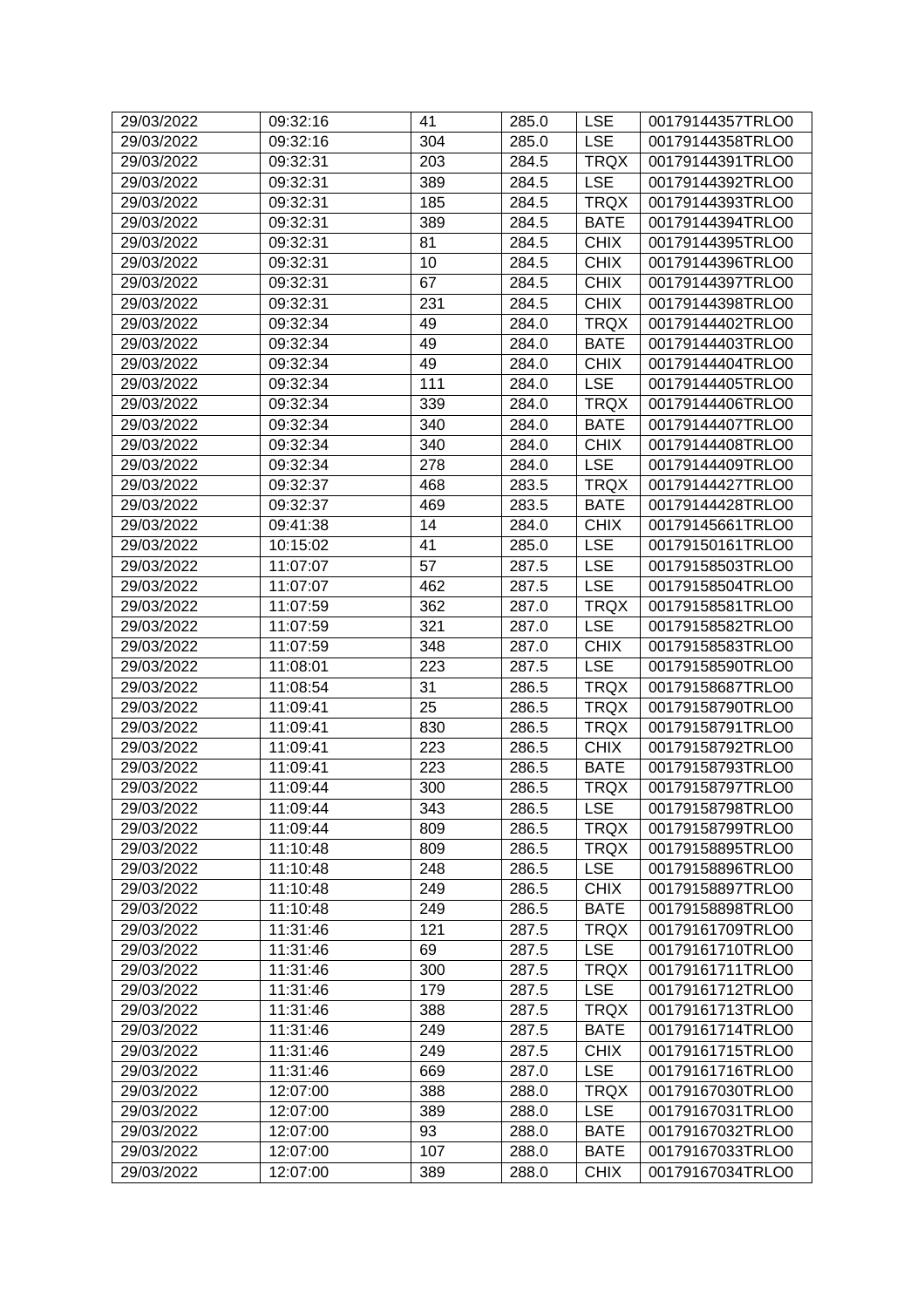| 29/03/2022 | 09:32:16 | 41  | 285.0 | <b>LSE</b>  | 00179144357TRLO0 |
|------------|----------|-----|-------|-------------|------------------|
| 29/03/2022 | 09:32:16 | 304 | 285.0 | <b>LSE</b>  | 00179144358TRLO0 |
| 29/03/2022 | 09:32:31 | 203 | 284.5 | <b>TRQX</b> | 00179144391TRLO0 |
| 29/03/2022 | 09:32:31 | 389 | 284.5 | <b>LSE</b>  | 00179144392TRLO0 |
| 29/03/2022 | 09:32:31 | 185 | 284.5 | <b>TRQX</b> | 00179144393TRLO0 |
| 29/03/2022 | 09:32:31 | 389 | 284.5 | <b>BATE</b> | 00179144394TRLO0 |
| 29/03/2022 | 09:32:31 | 81  | 284.5 | <b>CHIX</b> | 00179144395TRLO0 |
| 29/03/2022 | 09:32:31 | 10  | 284.5 | <b>CHIX</b> | 00179144396TRLO0 |
| 29/03/2022 | 09:32:31 | 67  | 284.5 | <b>CHIX</b> | 00179144397TRLO0 |
| 29/03/2022 | 09:32:31 | 231 | 284.5 | <b>CHIX</b> | 00179144398TRLO0 |
| 29/03/2022 | 09:32:34 | 49  | 284.0 | <b>TRQX</b> | 00179144402TRLO0 |
| 29/03/2022 | 09:32:34 | 49  | 284.0 | <b>BATE</b> | 00179144403TRLO0 |
| 29/03/2022 | 09:32:34 | 49  | 284.0 | <b>CHIX</b> | 00179144404TRLO0 |
| 29/03/2022 | 09:32:34 | 111 | 284.0 | <b>LSE</b>  | 00179144405TRLO0 |
| 29/03/2022 | 09:32:34 | 339 | 284.0 | <b>TRQX</b> | 00179144406TRLO0 |
| 29/03/2022 | 09:32:34 | 340 | 284.0 | <b>BATE</b> | 00179144407TRLO0 |
| 29/03/2022 | 09:32:34 | 340 | 284.0 | <b>CHIX</b> | 00179144408TRLO0 |
| 29/03/2022 | 09:32:34 | 278 | 284.0 | <b>LSE</b>  | 00179144409TRLO0 |
| 29/03/2022 | 09:32:37 | 468 | 283.5 | <b>TRQX</b> | 00179144427TRLO0 |
| 29/03/2022 | 09:32:37 | 469 | 283.5 | <b>BATE</b> | 00179144428TRLO0 |
| 29/03/2022 | 09:41:38 | 14  | 284.0 | <b>CHIX</b> | 00179145661TRLO0 |
| 29/03/2022 | 10:15:02 | 41  | 285.0 | <b>LSE</b>  | 00179150161TRLO0 |
| 29/03/2022 | 11:07:07 | 57  | 287.5 | <b>LSE</b>  | 00179158503TRLO0 |
| 29/03/2022 | 11:07:07 | 462 | 287.5 | <b>LSE</b>  | 00179158504TRLO0 |
| 29/03/2022 | 11:07:59 | 362 | 287.0 | <b>TRQX</b> | 00179158581TRLO0 |
| 29/03/2022 | 11:07:59 | 321 | 287.0 | <b>LSE</b>  | 00179158582TRLO0 |
| 29/03/2022 | 11:07:59 | 348 | 287.0 | <b>CHIX</b> | 00179158583TRLO0 |
| 29/03/2022 | 11:08:01 | 223 | 287.5 | <b>LSE</b>  | 00179158590TRLO0 |
| 29/03/2022 | 11:08:54 | 31  | 286.5 | <b>TRQX</b> | 00179158687TRLO0 |
| 29/03/2022 | 11:09:41 | 25  | 286.5 | <b>TRQX</b> | 00179158790TRLO0 |
| 29/03/2022 | 11:09:41 | 830 | 286.5 | <b>TRQX</b> | 00179158791TRLO0 |
| 29/03/2022 | 11:09:41 | 223 | 286.5 | <b>CHIX</b> | 00179158792TRLO0 |
| 29/03/2022 | 11:09:41 | 223 | 286.5 | <b>BATE</b> | 00179158793TRLO0 |
| 29/03/2022 | 11:09:44 | 300 | 286.5 | <b>TRQX</b> | 00179158797TRLO0 |
| 29/03/2022 | 11:09:44 | 343 | 286.5 | <b>LSE</b>  | 00179158798TRLO0 |
| 29/03/2022 | 11:09:44 | 809 | 286.5 | <b>TRQX</b> | 00179158799TRLO0 |
| 29/03/2022 | 11:10:48 | 809 | 286.5 | <b>TRQX</b> | 00179158895TRLO0 |
| 29/03/2022 | 11:10:48 | 248 | 286.5 | <b>LSE</b>  | 00179158896TRLO0 |
| 29/03/2022 | 11:10:48 | 249 | 286.5 | <b>CHIX</b> | 00179158897TRLO0 |
| 29/03/2022 | 11:10:48 | 249 | 286.5 | <b>BATE</b> | 00179158898TRLO0 |
| 29/03/2022 | 11:31:46 | 121 | 287.5 | <b>TRQX</b> | 00179161709TRLO0 |
| 29/03/2022 | 11:31:46 | 69  | 287.5 | <b>LSE</b>  | 00179161710TRLO0 |
| 29/03/2022 | 11:31:46 | 300 | 287.5 | <b>TRQX</b> | 00179161711TRLO0 |
| 29/03/2022 | 11:31:46 | 179 | 287.5 | <b>LSE</b>  | 00179161712TRLO0 |
| 29/03/2022 | 11:31:46 | 388 | 287.5 | <b>TRQX</b> | 00179161713TRLO0 |
| 29/03/2022 | 11:31:46 | 249 | 287.5 | <b>BATE</b> | 00179161714TRLO0 |
| 29/03/2022 | 11:31:46 | 249 | 287.5 | <b>CHIX</b> | 00179161715TRLO0 |
| 29/03/2022 | 11:31:46 | 669 | 287.0 | <b>LSE</b>  | 00179161716TRLO0 |
| 29/03/2022 | 12:07:00 | 388 | 288.0 | <b>TRQX</b> | 00179167030TRLO0 |
| 29/03/2022 | 12:07:00 | 389 | 288.0 | <b>LSE</b>  | 00179167031TRLO0 |
| 29/03/2022 | 12:07:00 | 93  | 288.0 | <b>BATE</b> | 00179167032TRLO0 |
| 29/03/2022 | 12:07:00 | 107 | 288.0 | <b>BATE</b> | 00179167033TRLO0 |
| 29/03/2022 |          |     |       |             | 00179167034TRLO0 |
|            | 12:07:00 | 389 | 288.0 | <b>CHIX</b> |                  |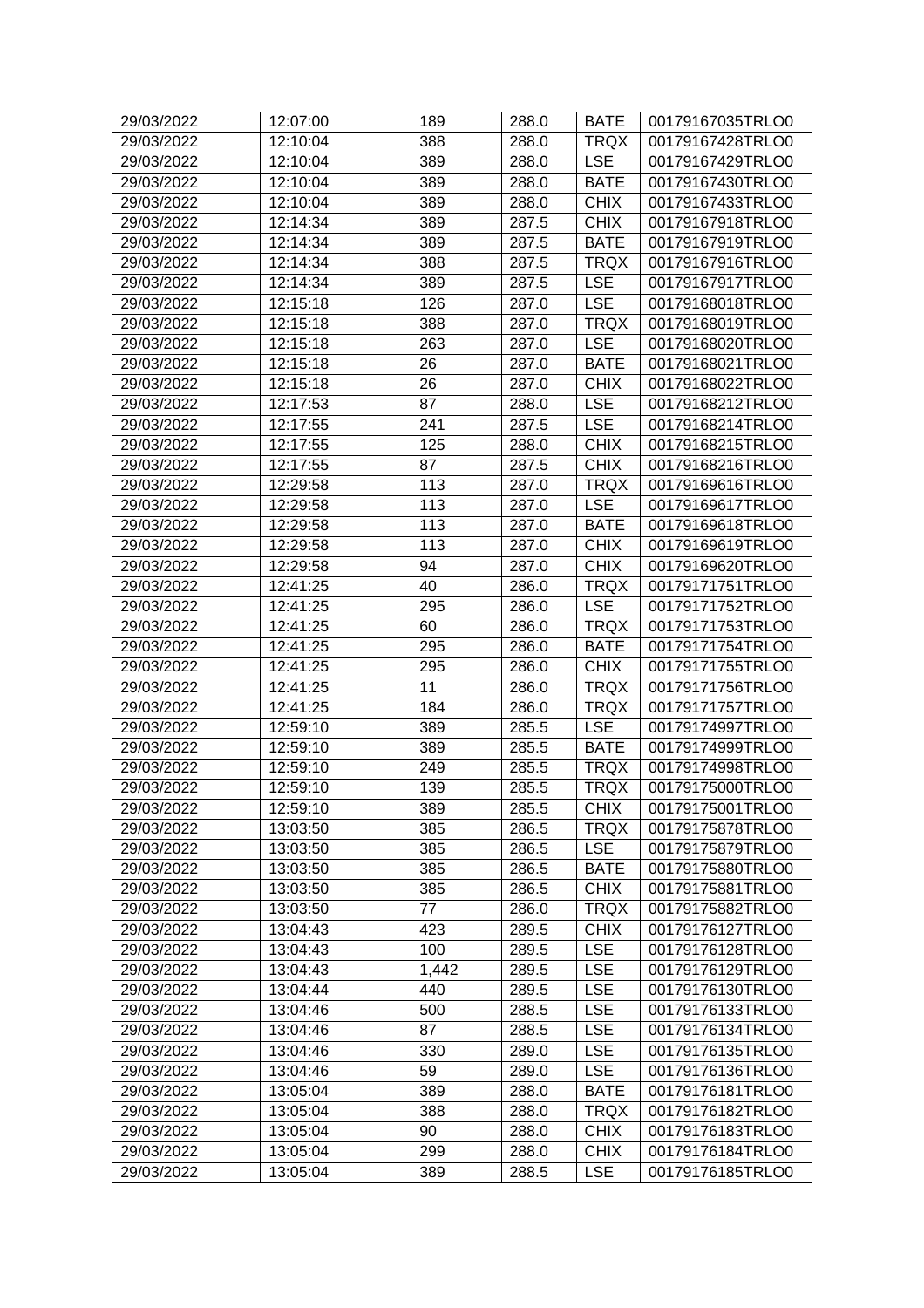| 29/03/2022 | 12:07:00 | 189   | 288.0 | <b>BATE</b> | 00179167035TRLO0 |
|------------|----------|-------|-------|-------------|------------------|
| 29/03/2022 | 12:10:04 | 388   | 288.0 | <b>TRQX</b> | 00179167428TRLO0 |
| 29/03/2022 | 12:10:04 | 389   | 288.0 | <b>LSE</b>  | 00179167429TRLO0 |
| 29/03/2022 | 12:10:04 | 389   | 288.0 | <b>BATE</b> | 00179167430TRLO0 |
| 29/03/2022 | 12:10:04 | 389   | 288.0 | <b>CHIX</b> | 00179167433TRLO0 |
| 29/03/2022 | 12:14:34 | 389   | 287.5 | <b>CHIX</b> | 00179167918TRLO0 |
| 29/03/2022 | 12:14:34 | 389   | 287.5 | <b>BATE</b> | 00179167919TRLO0 |
| 29/03/2022 | 12:14:34 | 388   | 287.5 | <b>TRQX</b> | 00179167916TRLO0 |
| 29/03/2022 | 12:14:34 | 389   | 287.5 | <b>LSE</b>  | 00179167917TRLO0 |
| 29/03/2022 | 12:15:18 | 126   | 287.0 | <b>LSE</b>  | 00179168018TRLO0 |
| 29/03/2022 | 12:15:18 | 388   | 287.0 | <b>TRQX</b> | 00179168019TRLO0 |
| 29/03/2022 | 12:15:18 | 263   | 287.0 | <b>LSE</b>  | 00179168020TRLO0 |
| 29/03/2022 | 12:15:18 | 26    | 287.0 | <b>BATE</b> | 00179168021TRLO0 |
| 29/03/2022 | 12:15:18 | 26    | 287.0 | <b>CHIX</b> | 00179168022TRLO0 |
| 29/03/2022 | 12:17:53 | 87    | 288.0 | <b>LSE</b>  | 00179168212TRLO0 |
| 29/03/2022 | 12:17:55 | 241   | 287.5 | <b>LSE</b>  | 00179168214TRLO0 |
|            |          |       |       |             |                  |
| 29/03/2022 | 12:17:55 | 125   | 288.0 | <b>CHIX</b> | 00179168215TRLO0 |
| 29/03/2022 | 12:17:55 | 87    | 287.5 | <b>CHIX</b> | 00179168216TRLO0 |
| 29/03/2022 | 12:29:58 | 113   | 287.0 | <b>TRQX</b> | 00179169616TRLO0 |
| 29/03/2022 | 12:29:58 | 113   | 287.0 | <b>LSE</b>  | 00179169617TRLO0 |
| 29/03/2022 | 12:29:58 | 113   | 287.0 | <b>BATE</b> | 00179169618TRLO0 |
| 29/03/2022 | 12:29:58 | 113   | 287.0 | <b>CHIX</b> | 00179169619TRLO0 |
| 29/03/2022 | 12:29:58 | 94    | 287.0 | <b>CHIX</b> | 00179169620TRLO0 |
| 29/03/2022 | 12:41:25 | 40    | 286.0 | <b>TRQX</b> | 00179171751TRLO0 |
| 29/03/2022 | 12:41:25 | 295   | 286.0 | <b>LSE</b>  | 00179171752TRLO0 |
| 29/03/2022 | 12:41:25 | 60    | 286.0 | <b>TRQX</b> | 00179171753TRLO0 |
| 29/03/2022 | 12:41:25 | 295   | 286.0 | <b>BATE</b> | 00179171754TRLO0 |
| 29/03/2022 | 12:41:25 | 295   | 286.0 | <b>CHIX</b> | 00179171755TRLO0 |
| 29/03/2022 | 12:41:25 | 11    | 286.0 | <b>TRQX</b> | 00179171756TRLO0 |
| 29/03/2022 | 12:41:25 | 184   | 286.0 | <b>TRQX</b> | 00179171757TRLO0 |
| 29/03/2022 | 12:59:10 | 389   | 285.5 | <b>LSE</b>  | 00179174997TRLO0 |
| 29/03/2022 | 12:59:10 | 389   | 285.5 | <b>BATE</b> | 00179174999TRLO0 |
| 29/03/2022 | 12:59:10 | 249   | 285.5 | <b>TRQX</b> | 00179174998TRLO0 |
| 29/03/2022 | 12:59:10 | 139   | 285.5 | <b>TRQX</b> | 00179175000TRLO0 |
| 29/03/2022 | 12:59:10 | 389   | 285.5 | <b>CHIX</b> | 00179175001TRLO0 |
| 29/03/2022 | 13:03:50 | 385   | 286.5 | <b>TRQX</b> | 00179175878TRLO0 |
| 29/03/2022 | 13:03:50 | 385   | 286.5 | <b>LSE</b>  | 00179175879TRLO0 |
| 29/03/2022 | 13:03:50 | 385   | 286.5 | <b>BATE</b> | 00179175880TRLO0 |
| 29/03/2022 | 13:03:50 | 385   | 286.5 | <b>CHIX</b> | 00179175881TRLO0 |
| 29/03/2022 | 13:03:50 | 77    | 286.0 | <b>TRQX</b> | 00179175882TRLO0 |
| 29/03/2022 | 13:04:43 | 423   | 289.5 | <b>CHIX</b> | 00179176127TRLO0 |
| 29/03/2022 | 13:04:43 | 100   | 289.5 | <b>LSE</b>  | 00179176128TRLO0 |
| 29/03/2022 | 13:04:43 | 1,442 | 289.5 | <b>LSE</b>  | 00179176129TRLO0 |
| 29/03/2022 | 13:04:44 | 440   | 289.5 | <b>LSE</b>  | 00179176130TRLO0 |
| 29/03/2022 | 13:04:46 | 500   | 288.5 | <b>LSE</b>  | 00179176133TRLO0 |
| 29/03/2022 | 13:04:46 | 87    | 288.5 | <b>LSE</b>  | 00179176134TRLO0 |
| 29/03/2022 | 13:04:46 | 330   | 289.0 | <b>LSE</b>  | 00179176135TRLO0 |
| 29/03/2022 | 13:04:46 | 59    | 289.0 | <b>LSE</b>  | 00179176136TRLO0 |
| 29/03/2022 | 13:05:04 | 389   | 288.0 | <b>BATE</b> | 00179176181TRLO0 |
| 29/03/2022 | 13:05:04 | 388   | 288.0 | <b>TRQX</b> | 00179176182TRLO0 |
| 29/03/2022 | 13:05:04 | 90    | 288.0 | <b>CHIX</b> | 00179176183TRLO0 |
| 29/03/2022 | 13:05:04 | 299   | 288.0 | <b>CHIX</b> | 00179176184TRLO0 |
| 29/03/2022 | 13:05:04 | 389   | 288.5 | <b>LSE</b>  | 00179176185TRLO0 |
|            |          |       |       |             |                  |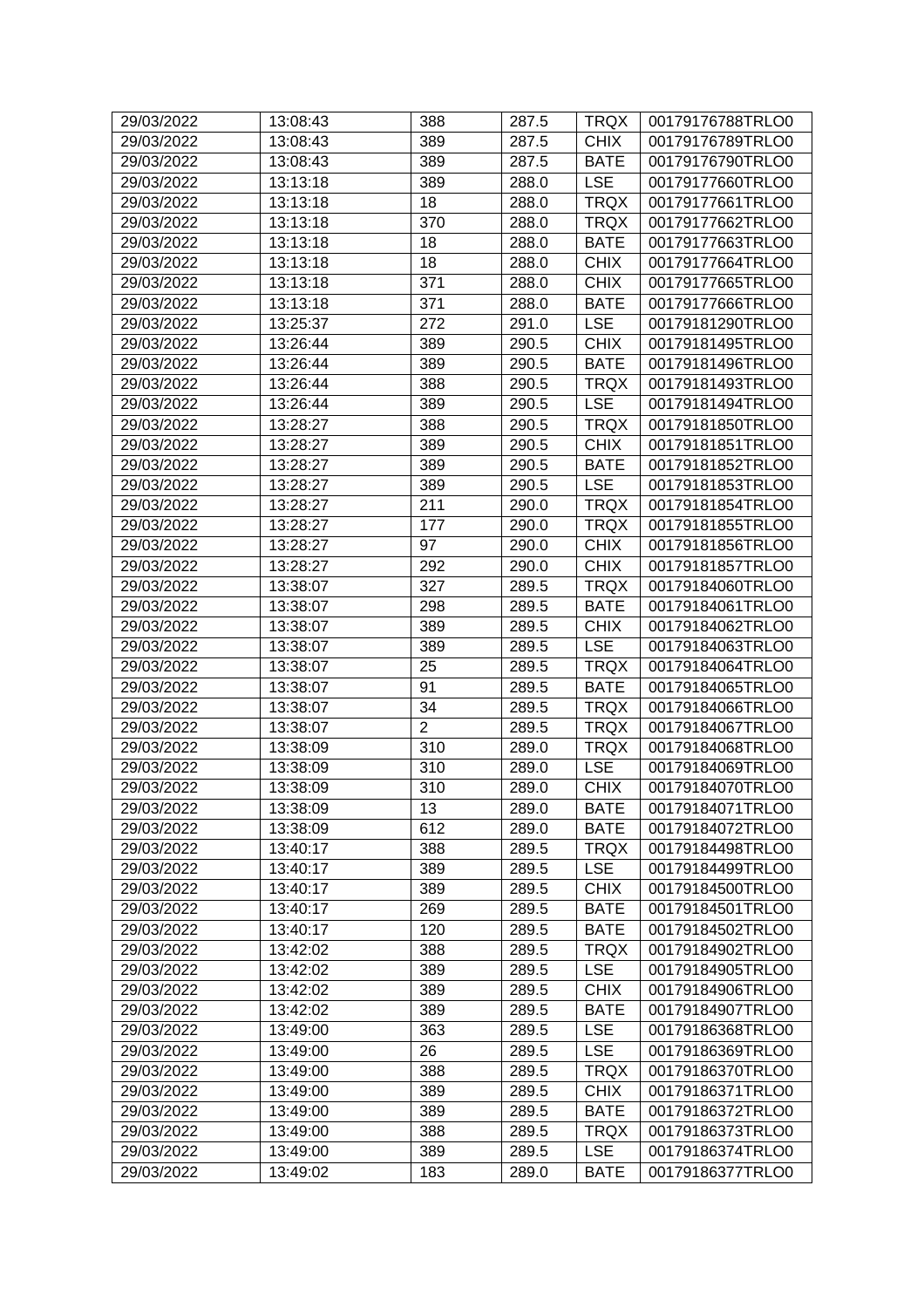| 29/03/2022 | 13:08:43 | 388            | 287.5 | <b>TRQX</b> | 00179176788TRLO0 |
|------------|----------|----------------|-------|-------------|------------------|
| 29/03/2022 | 13:08:43 | 389            | 287.5 | <b>CHIX</b> | 00179176789TRLO0 |
| 29/03/2022 | 13:08:43 | 389            | 287.5 | <b>BATE</b> | 00179176790TRLO0 |
| 29/03/2022 | 13:13:18 | 389            | 288.0 | <b>LSE</b>  | 00179177660TRLO0 |
| 29/03/2022 | 13:13:18 | 18             | 288.0 | <b>TRQX</b> | 00179177661TRLO0 |
| 29/03/2022 | 13:13:18 | 370            | 288.0 | <b>TRQX</b> | 00179177662TRLO0 |
| 29/03/2022 | 13:13:18 | 18             | 288.0 | <b>BATE</b> | 00179177663TRLO0 |
| 29/03/2022 | 13:13:18 | 18             | 288.0 | <b>CHIX</b> | 00179177664TRLO0 |
| 29/03/2022 | 13:13:18 | 371            | 288.0 | <b>CHIX</b> | 00179177665TRLO0 |
| 29/03/2022 | 13:13:18 | 371            | 288.0 | <b>BATE</b> | 00179177666TRLO0 |
| 29/03/2022 | 13:25:37 | 272            | 291.0 | <b>LSE</b>  | 00179181290TRLO0 |
| 29/03/2022 | 13:26:44 | 389            | 290.5 | <b>CHIX</b> | 00179181495TRLO0 |
| 29/03/2022 | 13:26:44 | 389            | 290.5 | <b>BATE</b> | 00179181496TRLO0 |
| 29/03/2022 | 13:26:44 | 388            | 290.5 | <b>TRQX</b> | 00179181493TRLO0 |
| 29/03/2022 | 13:26:44 | 389            | 290.5 | <b>LSE</b>  | 00179181494TRLO0 |
| 29/03/2022 | 13:28:27 | 388            | 290.5 | <b>TRQX</b> | 00179181850TRLO0 |
| 29/03/2022 | 13:28:27 | 389            | 290.5 | <b>CHIX</b> | 00179181851TRLO0 |
| 29/03/2022 | 13:28:27 | 389            | 290.5 | <b>BATE</b> | 00179181852TRLO0 |
| 29/03/2022 | 13:28:27 | 389            | 290.5 | <b>LSE</b>  | 00179181853TRLO0 |
| 29/03/2022 | 13:28:27 | 211            | 290.0 | <b>TRQX</b> | 00179181854TRLO0 |
| 29/03/2022 | 13:28:27 | 177            | 290.0 | <b>TRQX</b> | 00179181855TRLO0 |
| 29/03/2022 | 13:28:27 | 97             | 290.0 | <b>CHIX</b> | 00179181856TRLO0 |
| 29/03/2022 | 13:28:27 | 292            | 290.0 | <b>CHIX</b> | 00179181857TRLO0 |
| 29/03/2022 | 13:38:07 | 327            | 289.5 | <b>TRQX</b> | 00179184060TRLO0 |
| 29/03/2022 | 13:38:07 | 298            | 289.5 | <b>BATE</b> | 00179184061TRLO0 |
| 29/03/2022 | 13:38:07 | 389            | 289.5 | <b>CHIX</b> | 00179184062TRLO0 |
| 29/03/2022 | 13:38:07 | 389            | 289.5 | <b>LSE</b>  | 00179184063TRLO0 |
| 29/03/2022 | 13:38:07 | 25             | 289.5 | <b>TRQX</b> | 00179184064TRLO0 |
| 29/03/2022 | 13:38:07 | 91             | 289.5 | <b>BATE</b> | 00179184065TRLO0 |
| 29/03/2022 | 13:38:07 | 34             | 289.5 | <b>TRQX</b> | 00179184066TRLO0 |
| 29/03/2022 | 13:38:07 | $\overline{2}$ | 289.5 | <b>TRQX</b> | 00179184067TRLO0 |
| 29/03/2022 | 13:38:09 | 310            | 289.0 | <b>TRQX</b> | 00179184068TRLO0 |
| 29/03/2022 | 13:38:09 | 310            | 289.0 | <b>LSE</b>  | 00179184069TRLO0 |
| 29/03/2022 | 13:38:09 | 310            | 289.0 | <b>CHIX</b> | 00179184070TRLO0 |
| 29/03/2022 | 13:38:09 | 13             | 289.0 | <b>BATE</b> | 00179184071TRLO0 |
| 29/03/2022 | 13:38:09 | 612            | 289.0 | <b>BATE</b> | 00179184072TRLO0 |
| 29/03/2022 | 13:40:17 | 388            | 289.5 | <b>TRQX</b> | 00179184498TRLO0 |
| 29/03/2022 | 13:40:17 | 389            | 289.5 | <b>LSE</b>  | 00179184499TRLO0 |
| 29/03/2022 | 13:40:17 | 389            | 289.5 | <b>CHIX</b> | 00179184500TRLO0 |
| 29/03/2022 | 13:40:17 | 269            | 289.5 | <b>BATE</b> | 00179184501TRLO0 |
| 29/03/2022 | 13:40:17 | 120            | 289.5 | <b>BATE</b> | 00179184502TRLO0 |
| 29/03/2022 | 13:42:02 | 388            | 289.5 | <b>TRQX</b> | 00179184902TRLO0 |
| 29/03/2022 | 13:42:02 | 389            | 289.5 | <b>LSE</b>  | 00179184905TRLO0 |
| 29/03/2022 | 13:42:02 | 389            | 289.5 | <b>CHIX</b> | 00179184906TRLO0 |
| 29/03/2022 | 13:42:02 | 389            | 289.5 | <b>BATE</b> | 00179184907TRLO0 |
| 29/03/2022 | 13:49:00 | 363            | 289.5 | <b>LSE</b>  | 00179186368TRLO0 |
| 29/03/2022 | 13:49:00 | 26             | 289.5 | <b>LSE</b>  | 00179186369TRLO0 |
| 29/03/2022 | 13:49:00 | 388            | 289.5 | <b>TRQX</b> | 00179186370TRLO0 |
| 29/03/2022 | 13:49:00 | 389            | 289.5 | <b>CHIX</b> | 00179186371TRLO0 |
| 29/03/2022 | 13:49:00 | 389            | 289.5 | <b>BATE</b> | 00179186372TRLO0 |
| 29/03/2022 | 13:49:00 | 388            | 289.5 | <b>TRQX</b> | 00179186373TRLO0 |
| 29/03/2022 | 13:49:00 | 389            | 289.5 | <b>LSE</b>  | 00179186374TRLO0 |
| 29/03/2022 | 13:49:02 | 183            | 289.0 | <b>BATE</b> | 00179186377TRLO0 |
|            |          |                |       |             |                  |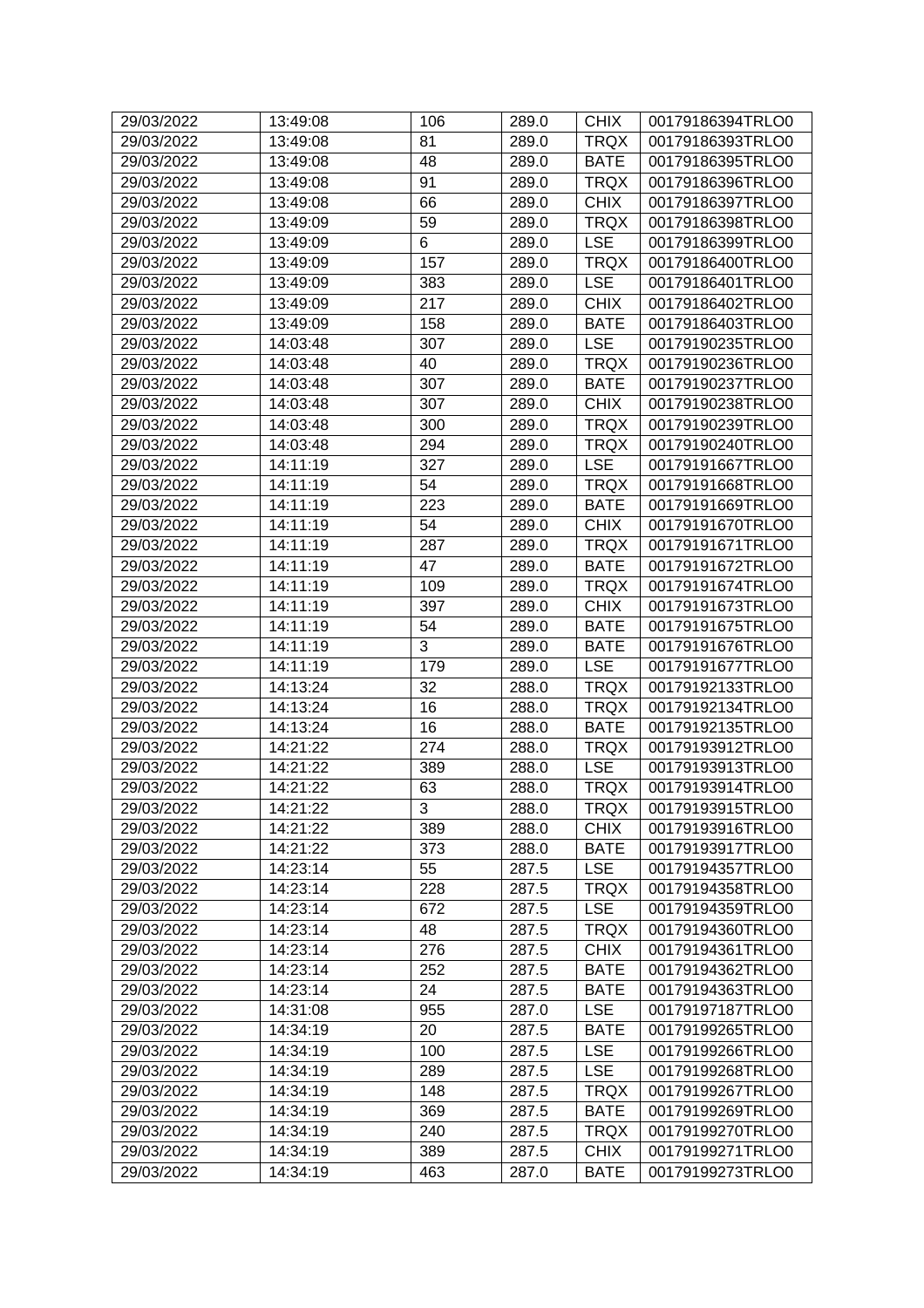| 29/03/2022 | 13:49:08 | 106            | 289.0 | <b>CHIX</b> | 00179186394TRLO0 |
|------------|----------|----------------|-------|-------------|------------------|
| 29/03/2022 | 13:49:08 | 81             | 289.0 | <b>TRQX</b> | 00179186393TRLO0 |
| 29/03/2022 | 13:49:08 | 48             | 289.0 | <b>BATE</b> | 00179186395TRLO0 |
| 29/03/2022 | 13:49:08 | 91             | 289.0 | <b>TRQX</b> | 00179186396TRLO0 |
| 29/03/2022 | 13:49:08 | 66             | 289.0 | <b>CHIX</b> | 00179186397TRLO0 |
| 29/03/2022 | 13:49:09 | 59             | 289.0 | <b>TRQX</b> | 00179186398TRLO0 |
| 29/03/2022 | 13:49:09 | 6              | 289.0 | <b>LSE</b>  | 00179186399TRLO0 |
| 29/03/2022 | 13:49:09 | 157            | 289.0 | <b>TRQX</b> | 00179186400TRLO0 |
| 29/03/2022 | 13:49:09 | 383            | 289.0 | <b>LSE</b>  | 00179186401TRLO0 |
| 29/03/2022 | 13:49:09 | 217            | 289.0 | <b>CHIX</b> | 00179186402TRLO0 |
| 29/03/2022 | 13:49:09 | 158            | 289.0 | <b>BATE</b> | 00179186403TRLO0 |
| 29/03/2022 | 14:03:48 | 307            | 289.0 | <b>LSE</b>  | 00179190235TRLO0 |
| 29/03/2022 | 14:03:48 | 40             | 289.0 | <b>TRQX</b> | 00179190236TRLO0 |
| 29/03/2022 | 14:03:48 | 307            | 289.0 | <b>BATE</b> | 00179190237TRLO0 |
| 29/03/2022 | 14:03:48 | 307            | 289.0 | <b>CHIX</b> | 00179190238TRLO0 |
| 29/03/2022 | 14:03:48 | 300            | 289.0 | <b>TRQX</b> | 00179190239TRLO0 |
| 29/03/2022 | 14:03:48 | 294            | 289.0 | <b>TRQX</b> | 00179190240TRLO0 |
| 29/03/2022 | 14:11:19 | 327            | 289.0 | <b>LSE</b>  | 00179191667TRLO0 |
| 29/03/2022 | 14:11:19 | 54             | 289.0 | <b>TRQX</b> | 00179191668TRLO0 |
| 29/03/2022 | 14:11:19 | 223            | 289.0 | <b>BATE</b> | 00179191669TRLO0 |
| 29/03/2022 | 14:11:19 | 54             | 289.0 | <b>CHIX</b> | 00179191670TRLO0 |
| 29/03/2022 | 14:11:19 | 287            | 289.0 | <b>TRQX</b> | 00179191671TRLO0 |
| 29/03/2022 | 14:11:19 | 47             | 289.0 | <b>BATE</b> | 00179191672TRLO0 |
| 29/03/2022 | 14:11:19 | 109            | 289.0 | <b>TRQX</b> | 00179191674TRLO0 |
| 29/03/2022 | 14:11:19 | 397            | 289.0 | <b>CHIX</b> | 00179191673TRLO0 |
| 29/03/2022 | 14:11:19 | 54             | 289.0 | <b>BATE</b> | 00179191675TRLO0 |
| 29/03/2022 | 14:11:19 | 3              | 289.0 | <b>BATE</b> | 00179191676TRLO0 |
| 29/03/2022 | 14:11:19 | 179            | 289.0 | <b>LSE</b>  | 00179191677TRLO0 |
| 29/03/2022 | 14:13:24 | 32             | 288.0 | <b>TRQX</b> | 00179192133TRLO0 |
| 29/03/2022 | 14:13:24 | 16             | 288.0 | <b>TRQX</b> | 00179192134TRLO0 |
| 29/03/2022 | 14:13:24 | 16             | 288.0 | <b>BATE</b> | 00179192135TRLO0 |
| 29/03/2022 | 14:21:22 | 274            | 288.0 | <b>TRQX</b> | 00179193912TRLO0 |
| 29/03/2022 | 14:21:22 | 389            | 288.0 | <b>LSE</b>  | 00179193913TRLO0 |
| 29/03/2022 | 14:21:22 | 63             | 288.0 | <b>TRQX</b> | 00179193914TRLO0 |
| 29/03/2022 | 14:21:22 | $\overline{3}$ | 288.0 | <b>TRQX</b> | 00179193915TRLO0 |
| 29/03/2022 | 14:21:22 | 389            | 288.0 | <b>CHIX</b> | 00179193916TRLO0 |
| 29/03/2022 | 14:21:22 | 373            | 288.0 | <b>BATE</b> | 00179193917TRLO0 |
| 29/03/2022 | 14:23:14 | 55             | 287.5 | <b>LSE</b>  | 00179194357TRLO0 |
| 29/03/2022 | 14:23:14 | 228            | 287.5 | <b>TRQX</b> | 00179194358TRLO0 |
| 29/03/2022 | 14:23:14 | 672            | 287.5 | <b>LSE</b>  | 00179194359TRLO0 |
| 29/03/2022 | 14:23:14 | 48             | 287.5 | <b>TRQX</b> | 00179194360TRLO0 |
| 29/03/2022 | 14:23:14 | 276            | 287.5 | <b>CHIX</b> | 00179194361TRLO0 |
| 29/03/2022 | 14:23:14 | 252            | 287.5 | <b>BATE</b> | 00179194362TRLO0 |
| 29/03/2022 | 14:23:14 | 24             | 287.5 | <b>BATE</b> | 00179194363TRLO0 |
| 29/03/2022 | 14:31:08 | 955            | 287.0 | <b>LSE</b>  | 00179197187TRLO0 |
| 29/03/2022 | 14:34:19 | 20             | 287.5 | <b>BATE</b> | 00179199265TRLO0 |
| 29/03/2022 | 14:34:19 | 100            | 287.5 | <b>LSE</b>  | 00179199266TRLO0 |
| 29/03/2022 | 14:34:19 | 289            | 287.5 | <b>LSE</b>  | 00179199268TRLO0 |
| 29/03/2022 | 14:34:19 | 148            | 287.5 | <b>TRQX</b> | 00179199267TRLO0 |
| 29/03/2022 | 14:34:19 | 369            | 287.5 | <b>BATE</b> | 00179199269TRLO0 |
| 29/03/2022 | 14:34:19 | 240            | 287.5 | <b>TRQX</b> | 00179199270TRLO0 |
| 29/03/2022 | 14:34:19 | 389            | 287.5 | <b>CHIX</b> | 00179199271TRLO0 |
| 29/03/2022 | 14:34:19 | 463            | 287.0 | <b>BATE</b> | 00179199273TRLO0 |
|            |          |                |       |             |                  |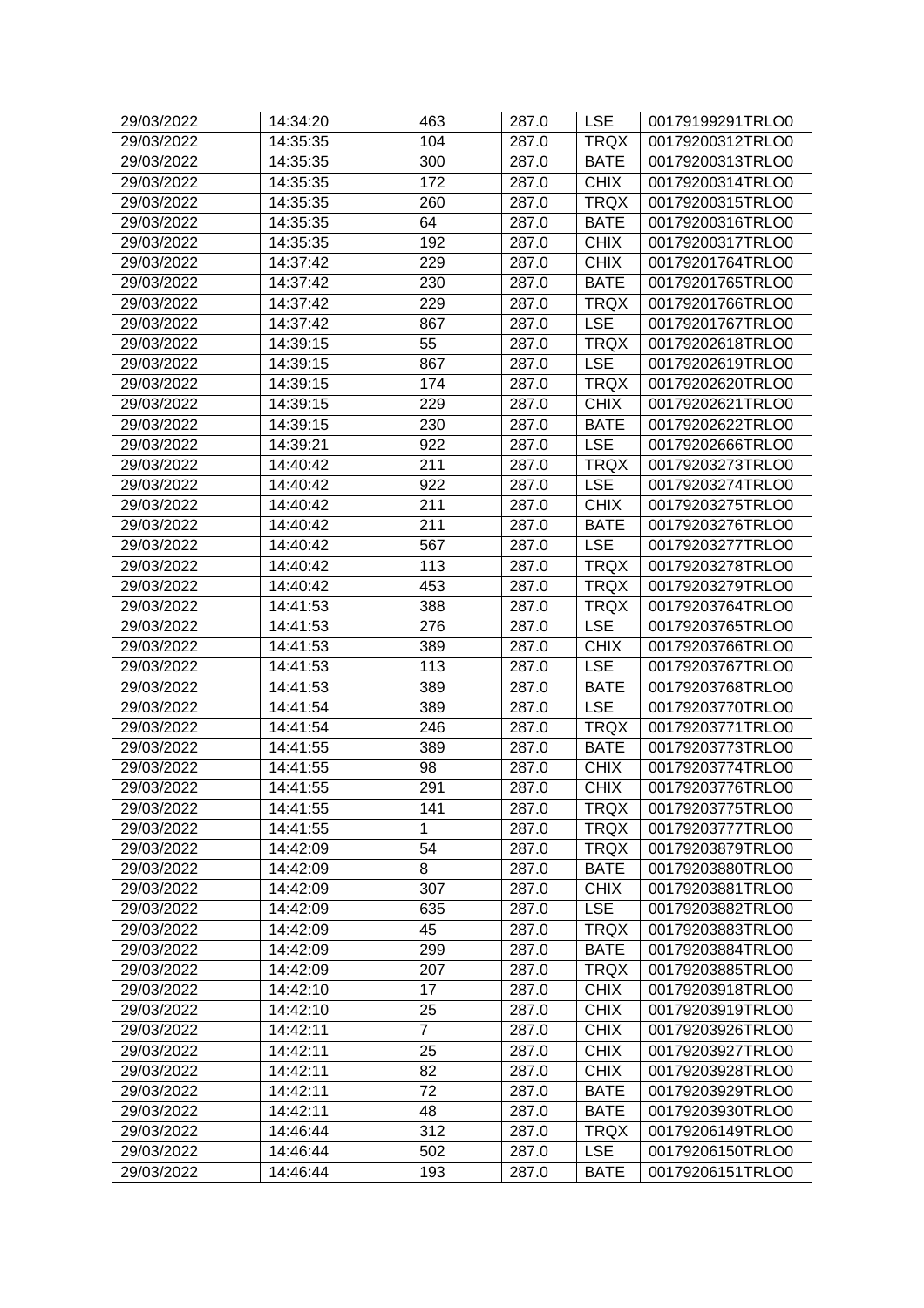| 29/03/2022 | 14:34:20 | 463            | 287.0 | <b>LSE</b>  | 00179199291TRLO0 |
|------------|----------|----------------|-------|-------------|------------------|
| 29/03/2022 | 14:35:35 | 104            | 287.0 | <b>TRQX</b> | 00179200312TRLO0 |
| 29/03/2022 | 14:35:35 | 300            | 287.0 | <b>BATE</b> | 00179200313TRLO0 |
| 29/03/2022 | 14:35:35 | 172            | 287.0 | <b>CHIX</b> | 00179200314TRLO0 |
| 29/03/2022 | 14:35:35 | 260            | 287.0 | <b>TRQX</b> | 00179200315TRLO0 |
| 29/03/2022 | 14:35:35 | 64             | 287.0 | <b>BATE</b> | 00179200316TRLO0 |
| 29/03/2022 | 14:35:35 | 192            | 287.0 | <b>CHIX</b> | 00179200317TRLO0 |
| 29/03/2022 | 14:37:42 | 229            | 287.0 | <b>CHIX</b> | 00179201764TRLO0 |
| 29/03/2022 | 14:37:42 | 230            | 287.0 | <b>BATE</b> | 00179201765TRLO0 |
| 29/03/2022 | 14:37:42 | 229            | 287.0 | <b>TRQX</b> | 00179201766TRLO0 |
| 29/03/2022 | 14:37:42 | 867            | 287.0 | <b>LSE</b>  | 00179201767TRLO0 |
| 29/03/2022 | 14:39:15 | 55             | 287.0 | <b>TRQX</b> | 00179202618TRLO0 |
| 29/03/2022 | 14:39:15 | 867            | 287.0 | <b>LSE</b>  | 00179202619TRLO0 |
| 29/03/2022 | 14:39:15 | 174            | 287.0 | <b>TRQX</b> | 00179202620TRLO0 |
| 29/03/2022 | 14:39:15 | 229            | 287.0 | <b>CHIX</b> | 00179202621TRLO0 |
| 29/03/2022 | 14:39:15 | 230            | 287.0 | <b>BATE</b> | 00179202622TRLO0 |
| 29/03/2022 | 14:39:21 | 922            | 287.0 | <b>LSE</b>  | 00179202666TRLO0 |
| 29/03/2022 | 14:40:42 | 211            | 287.0 | <b>TRQX</b> | 00179203273TRLO0 |
| 29/03/2022 | 14:40:42 | 922            | 287.0 | <b>LSE</b>  | 00179203274TRLO0 |
| 29/03/2022 | 14:40:42 | 211            | 287.0 | <b>CHIX</b> | 00179203275TRLO0 |
| 29/03/2022 | 14:40:42 | 211            | 287.0 | <b>BATE</b> | 00179203276TRLO0 |
| 29/03/2022 | 14:40:42 | 567            | 287.0 | <b>LSE</b>  | 00179203277TRLO0 |
| 29/03/2022 | 14:40:42 | 113            | 287.0 | <b>TRQX</b> | 00179203278TRLO0 |
| 29/03/2022 | 14:40:42 | 453            | 287.0 | <b>TRQX</b> | 00179203279TRLO0 |
| 29/03/2022 | 14:41:53 | 388            | 287.0 | <b>TRQX</b> | 00179203764TRLO0 |
| 29/03/2022 | 14:41:53 | 276            | 287.0 | <b>LSE</b>  | 00179203765TRLO0 |
| 29/03/2022 | 14:41:53 | 389            | 287.0 | <b>CHIX</b> | 00179203766TRLO0 |
| 29/03/2022 | 14:41:53 | 113            | 287.0 | <b>LSE</b>  | 00179203767TRLO0 |
| 29/03/2022 | 14:41:53 | 389            | 287.0 | <b>BATE</b> | 00179203768TRLO0 |
| 29/03/2022 | 14:41:54 | 389            | 287.0 | <b>LSE</b>  | 00179203770TRLO0 |
| 29/03/2022 | 14:41:54 | 246            | 287.0 | <b>TRQX</b> | 00179203771TRLO0 |
| 29/03/2022 | 14:41:55 | 389            | 287.0 | <b>BATE</b> | 00179203773TRLO0 |
| 29/03/2022 | 14:41:55 | 98             | 287.0 | <b>CHIX</b> | 00179203774TRLO0 |
| 29/03/2022 | 14:41:55 | 291            | 287.0 | <b>CHIX</b> | 00179203776TRLO0 |
| 29/03/2022 | 14:41:55 | 141            | 287.0 | <b>TRQX</b> | 00179203775TRLO0 |
| 29/03/2022 | 14:41:55 | 1              | 287.0 | <b>TRQX</b> | 00179203777TRLO0 |
| 29/03/2022 | 14:42:09 | 54             | 287.0 | <b>TRQX</b> | 00179203879TRLO0 |
| 29/03/2022 | 14:42:09 | 8              | 287.0 | <b>BATE</b> | 00179203880TRLO0 |
| 29/03/2022 | 14:42:09 | 307            | 287.0 | <b>CHIX</b> | 00179203881TRLO0 |
| 29/03/2022 | 14:42:09 | 635            | 287.0 | <b>LSE</b>  | 00179203882TRLO0 |
| 29/03/2022 | 14:42:09 | 45             | 287.0 | <b>TRQX</b> | 00179203883TRLO0 |
| 29/03/2022 | 14:42:09 | 299            | 287.0 | <b>BATE</b> | 00179203884TRLO0 |
| 29/03/2022 | 14:42:09 | 207            | 287.0 | <b>TRQX</b> | 00179203885TRLO0 |
| 29/03/2022 | 14:42:10 | 17             | 287.0 | <b>CHIX</b> | 00179203918TRLO0 |
| 29/03/2022 | 14:42:10 | 25             | 287.0 | <b>CHIX</b> | 00179203919TRLO0 |
| 29/03/2022 | 14:42:11 | $\overline{7}$ | 287.0 | <b>CHIX</b> | 00179203926TRLO0 |
| 29/03/2022 | 14:42:11 | 25             | 287.0 | <b>CHIX</b> | 00179203927TRLO0 |
| 29/03/2022 | 14:42:11 | 82             | 287.0 | <b>CHIX</b> | 00179203928TRLO0 |
| 29/03/2022 | 14:42:11 | 72             | 287.0 | <b>BATE</b> | 00179203929TRLO0 |
| 29/03/2022 | 14:42:11 | 48             | 287.0 | <b>BATE</b> | 00179203930TRLO0 |
| 29/03/2022 | 14:46:44 | 312            | 287.0 | <b>TRQX</b> | 00179206149TRLO0 |
| 29/03/2022 | 14:46:44 | 502            | 287.0 | <b>LSE</b>  | 00179206150TRLO0 |
| 29/03/2022 | 14:46:44 | 193            | 287.0 | <b>BATE</b> | 00179206151TRLO0 |
|            |          |                |       |             |                  |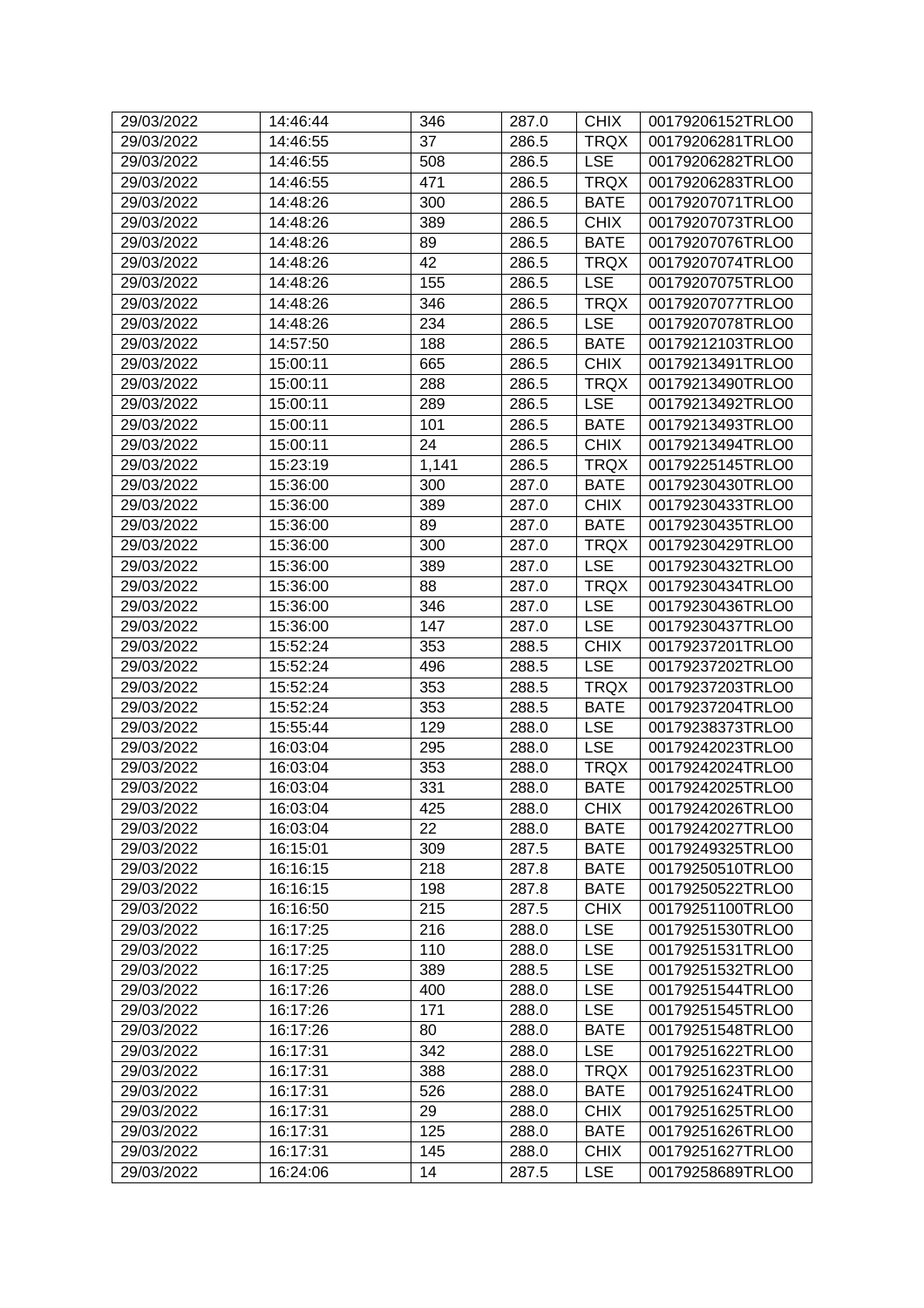| 29/03/2022 | 14:46:44 | 346   | 287.0 | <b>CHIX</b> | 00179206152TRLO0 |
|------------|----------|-------|-------|-------------|------------------|
| 29/03/2022 | 14:46:55 | 37    | 286.5 | <b>TRQX</b> | 00179206281TRLO0 |
| 29/03/2022 | 14:46:55 | 508   | 286.5 | <b>LSE</b>  | 00179206282TRLO0 |
| 29/03/2022 | 14:46:55 | 471   | 286.5 | <b>TRQX</b> | 00179206283TRLO0 |
| 29/03/2022 | 14:48:26 | 300   | 286.5 | <b>BATE</b> | 00179207071TRLO0 |
| 29/03/2022 | 14:48:26 | 389   | 286.5 | <b>CHIX</b> | 00179207073TRLO0 |
| 29/03/2022 | 14:48:26 | 89    | 286.5 | <b>BATE</b> | 00179207076TRLO0 |
| 29/03/2022 | 14:48:26 | 42    | 286.5 | <b>TRQX</b> | 00179207074TRLO0 |
| 29/03/2022 | 14:48:26 | 155   | 286.5 | <b>LSE</b>  | 00179207075TRLO0 |
| 29/03/2022 | 14:48:26 | 346   | 286.5 | <b>TRQX</b> | 00179207077TRLO0 |
| 29/03/2022 | 14:48:26 | 234   | 286.5 | <b>LSE</b>  | 00179207078TRLO0 |
| 29/03/2022 | 14:57:50 | 188   | 286.5 | <b>BATE</b> | 00179212103TRLO0 |
| 29/03/2022 | 15:00:11 | 665   | 286.5 | <b>CHIX</b> | 00179213491TRLO0 |
| 29/03/2022 | 15:00:11 | 288   | 286.5 | <b>TRQX</b> | 00179213490TRLO0 |
| 29/03/2022 | 15:00:11 | 289   | 286.5 | <b>LSE</b>  | 00179213492TRLO0 |
| 29/03/2022 | 15:00:11 | 101   | 286.5 | <b>BATE</b> | 00179213493TRLO0 |
| 29/03/2022 | 15:00:11 | 24    | 286.5 | <b>CHIX</b> | 00179213494TRLO0 |
| 29/03/2022 | 15:23:19 | 1,141 | 286.5 | <b>TRQX</b> | 00179225145TRLO0 |
| 29/03/2022 | 15:36:00 | 300   | 287.0 | <b>BATE</b> | 00179230430TRLO0 |
| 29/03/2022 | 15:36:00 | 389   | 287.0 | <b>CHIX</b> | 00179230433TRLO0 |
| 29/03/2022 | 15:36:00 | 89    | 287.0 | <b>BATE</b> | 00179230435TRLO0 |
| 29/03/2022 | 15:36:00 | 300   | 287.0 | <b>TRQX</b> | 00179230429TRLO0 |
| 29/03/2022 | 15:36:00 | 389   | 287.0 | <b>LSE</b>  | 00179230432TRLO0 |
| 29/03/2022 | 15:36:00 | 88    | 287.0 | <b>TRQX</b> | 00179230434TRLO0 |
| 29/03/2022 | 15:36:00 | 346   | 287.0 | <b>LSE</b>  | 00179230436TRLO0 |
| 29/03/2022 | 15:36:00 | 147   | 287.0 | <b>LSE</b>  | 00179230437TRLO0 |
| 29/03/2022 | 15:52:24 | 353   | 288.5 | <b>CHIX</b> | 00179237201TRLO0 |
| 29/03/2022 | 15:52:24 | 496   | 288.5 | <b>LSE</b>  | 00179237202TRLO0 |
| 29/03/2022 | 15:52:24 | 353   | 288.5 | <b>TRQX</b> | 00179237203TRLO0 |
| 29/03/2022 | 15:52:24 | 353   | 288.5 | <b>BATE</b> | 00179237204TRLO0 |
| 29/03/2022 | 15:55:44 | 129   | 288.0 | <b>LSE</b>  | 00179238373TRLO0 |
| 29/03/2022 | 16:03:04 | 295   | 288.0 | <b>LSE</b>  | 00179242023TRLO0 |
| 29/03/2022 | 16:03:04 | 353   | 288.0 | <b>TRQX</b> | 00179242024TRLO0 |
| 29/03/2022 | 16:03:04 | 331   | 288.0 | <b>BATE</b> | 00179242025TRLO0 |
| 29/03/2022 | 16:03:04 | 425   | 288.0 | <b>CHIX</b> | 00179242026TRLO0 |
| 29/03/2022 | 16:03:04 | 22    | 288.0 | <b>BATE</b> | 00179242027TRLO0 |
| 29/03/2022 | 16:15:01 | 309   | 287.5 | <b>BATE</b> | 00179249325TRLO0 |
| 29/03/2022 | 16:16:15 | 218   | 287.8 | <b>BATE</b> | 00179250510TRLO0 |
| 29/03/2022 | 16:16:15 | 198   | 287.8 | <b>BATE</b> | 00179250522TRLO0 |
| 29/03/2022 | 16:16:50 | 215   | 287.5 | <b>CHIX</b> | 00179251100TRLO0 |
| 29/03/2022 | 16:17:25 | 216   | 288.0 | <b>LSE</b>  | 00179251530TRLO0 |
| 29/03/2022 | 16:17:25 | 110   | 288.0 | <b>LSE</b>  | 00179251531TRLO0 |
| 29/03/2022 | 16:17:25 | 389   | 288.5 | <b>LSE</b>  | 00179251532TRLO0 |
| 29/03/2022 | 16:17:26 | 400   | 288.0 | <b>LSE</b>  | 00179251544TRLO0 |
| 29/03/2022 | 16:17:26 | 171   | 288.0 | <b>LSE</b>  | 00179251545TRLO0 |
| 29/03/2022 | 16:17:26 | 80    | 288.0 | <b>BATE</b> | 00179251548TRLO0 |
| 29/03/2022 | 16:17:31 | 342   | 288.0 | <b>LSE</b>  | 00179251622TRLO0 |
| 29/03/2022 | 16:17:31 | 388   | 288.0 | <b>TRQX</b> | 00179251623TRLO0 |
| 29/03/2022 | 16:17:31 | 526   | 288.0 | <b>BATE</b> | 00179251624TRLO0 |
| 29/03/2022 | 16:17:31 | 29    | 288.0 | <b>CHIX</b> | 00179251625TRLO0 |
| 29/03/2022 | 16:17:31 | 125   | 288.0 | <b>BATE</b> | 00179251626TRLO0 |
| 29/03/2022 | 16:17:31 | 145   | 288.0 | <b>CHIX</b> | 00179251627TRLO0 |
| 29/03/2022 | 16:24:06 | 14    | 287.5 | <b>LSE</b>  | 00179258689TRLO0 |
|            |          |       |       |             |                  |